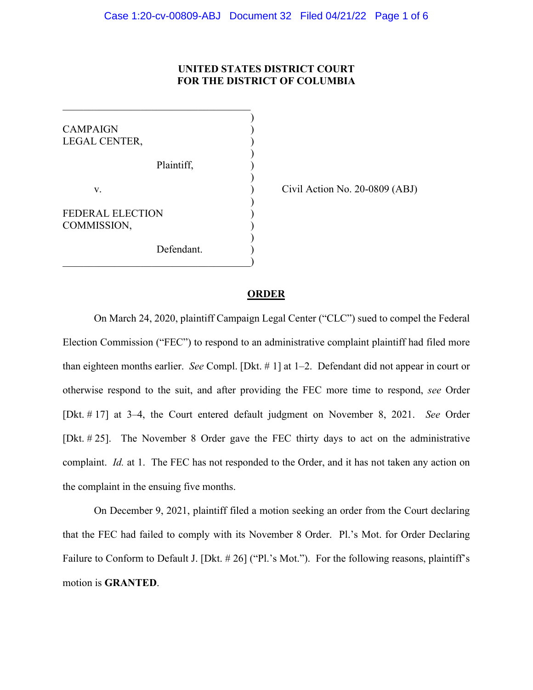### **UNITED STATES DISTRICT COURT FOR THE DISTRICT OF COLUMBIA**

) **CAMPAIGN** LEGAL CENTER, ) Plaintiff, ) ) v. **(a)** Civil Action No. 20-0809 (ABJ) ) FEDERAL ELECTION COMMISSION, ) Defendant.  $\qquad \qquad \qquad \qquad \qquad$ 

 $\mathcal{L}_\mathcal{L}$ 

## **ORDER**

On March 24, 2020, plaintiff Campaign Legal Center ("CLC") sued to compel the Federal Election Commission ("FEC") to respond to an administrative complaint plaintiff had filed more than eighteen months earlier. *See* Compl. [Dkt. # 1] at 1–2. Defendant did not appear in court or otherwise respond to the suit, and after providing the FEC more time to respond, *see* Order [Dkt. # 17] at 3–4, the Court entered default judgment on November 8, 2021. *See* Order [Dkt. # 25]. The November 8 Order gave the FEC thirty days to act on the administrative complaint. *Id.* at 1. The FEC has not responded to the Order, and it has not taken any action on the complaint in the ensuing five months.

On December 9, 2021, plaintiff filed a motion seeking an order from the Court declaring that the FEC had failed to comply with its November 8 Order. Pl.'s Mot. for Order Declaring Failure to Conform to Default J. [Dkt. # 26] ("Pl.'s Mot."). For the following reasons, plaintiff's motion is **GRANTED**.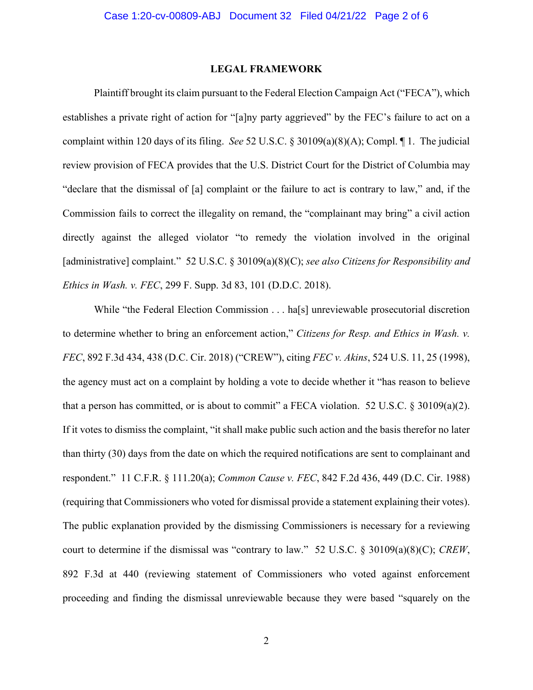#### **LEGAL FRAMEWORK**

Plaintiff brought its claim pursuant to the Federal Election Campaign Act ("FECA"), which establishes a private right of action for "[a]ny party aggrieved" by the FEC's failure to act on a complaint within 120 days of its filing. *See* 52 U.S.C. § 30109(a)(8)(A); Compl. ¶ 1. The judicial review provision of FECA provides that the U.S. District Court for the District of Columbia may "declare that the dismissal of [a] complaint or the failure to act is contrary to law," and, if the Commission fails to correct the illegality on remand, the "complainant may bring" a civil action directly against the alleged violator "to remedy the violation involved in the original [administrative] complaint." 52 U.S.C. § 30109(a)(8)(C); *see also Citizens for Responsibility and Ethics in Wash. v. FEC*, 299 F. Supp. 3d 83, 101 (D.D.C. 2018).

While "the Federal Election Commission . . . ha<sup>[5]</sup> unreviewable prosecutorial discretion to determine whether to bring an enforcement action," *Citizens for Resp. and Ethics in Wash. v. FEC*, 892 F.3d 434, 438 (D.C. Cir. 2018) ("CREW"), citing *FEC v. Akins*, 524 U.S. 11, 25 (1998), the agency must act on a complaint by holding a vote to decide whether it "has reason to believe that a person has committed, or is about to commit" a FECA violation. 52 U.S.C.  $\S 30109(a)(2)$ . If it votes to dismiss the complaint, "it shall make public such action and the basis therefor no later than thirty (30) days from the date on which the required notifications are sent to complainant and respondent." 11 C.F.R. § 111.20(a); *Common Cause v. FEC*, 842 F.2d 436, 449 (D.C. Cir. 1988) (requiring that Commissioners who voted for dismissal provide a statement explaining their votes). The public explanation provided by the dismissing Commissioners is necessary for a reviewing court to determine if the dismissal was "contrary to law." 52 U.S.C. § 30109(a)(8)(C); *CREW*, 892 F.3d at 440 (reviewing statement of Commissioners who voted against enforcement proceeding and finding the dismissal unreviewable because they were based "squarely on the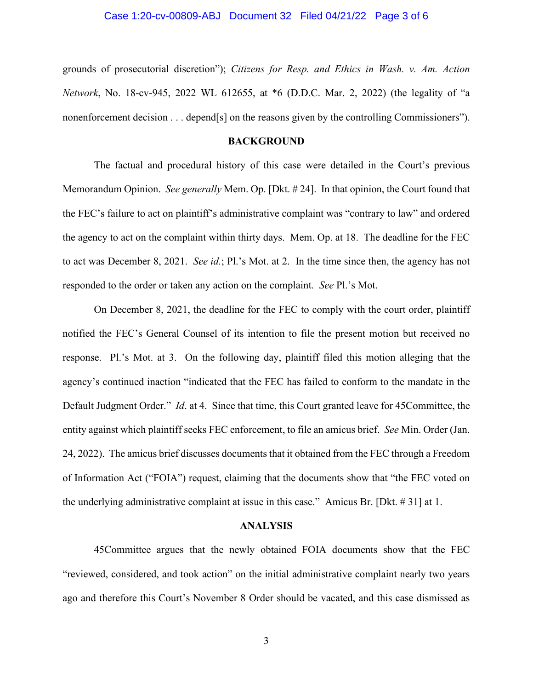#### Case 1:20-cv-00809-ABJ Document 32 Filed 04/21/22 Page 3 of 6

grounds of prosecutorial discretion"); *Citizens for Resp. and Ethics in Wash. v. Am. Action Network*, No. 18-cv-945, 2022 WL 612655, at \*6 (D.D.C. Mar. 2, 2022) (the legality of "a nonenforcement decision . . . depend[s] on the reasons given by the controlling Commissioners").

#### **BACKGROUND**

The factual and procedural history of this case were detailed in the Court's previous Memorandum Opinion. *See generally* Mem. Op. [Dkt. # 24]. In that opinion, the Court found that the FEC's failure to act on plaintiff's administrative complaint was "contrary to law" and ordered the agency to act on the complaint within thirty days. Mem. Op. at 18. The deadline for the FEC to act was December 8, 2021. *See id.*; Pl.'s Mot. at 2. In the time since then, the agency has not responded to the order or taken any action on the complaint. *See* Pl.'s Mot.

On December 8, 2021, the deadline for the FEC to comply with the court order, plaintiff notified the FEC's General Counsel of its intention to file the present motion but received no response. Pl.'s Mot. at 3. On the following day, plaintiff filed this motion alleging that the agency's continued inaction "indicated that the FEC has failed to conform to the mandate in the Default Judgment Order." *Id*. at 4. Since that time, this Court granted leave for 45Committee, the entity against which plaintiff seeks FEC enforcement, to file an amicus brief. *See* Min. Order (Jan. 24, 2022). The amicus brief discusses documents that it obtained from the FEC through a Freedom of Information Act ("FOIA") request, claiming that the documents show that "the FEC voted on the underlying administrative complaint at issue in this case." Amicus Br. [Dkt. # 31] at 1.

#### **ANALYSIS**

45Committee argues that the newly obtained FOIA documents show that the FEC "reviewed, considered, and took action" on the initial administrative complaint nearly two years ago and therefore this Court's November 8 Order should be vacated, and this case dismissed as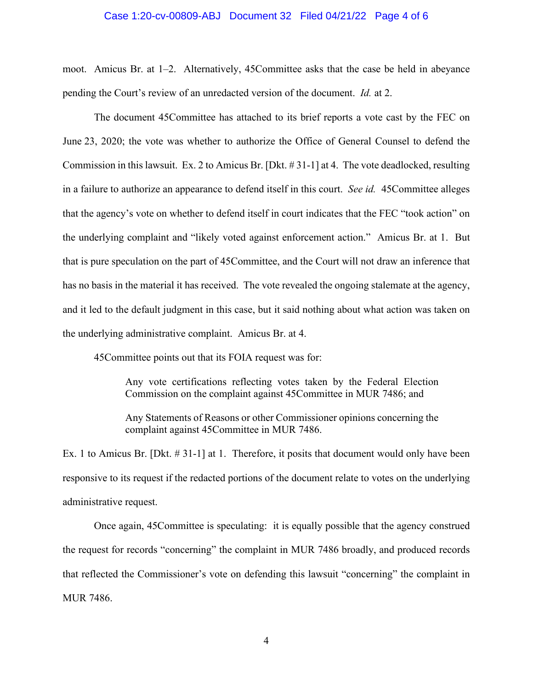#### Case 1:20-cv-00809-ABJ Document 32 Filed 04/21/22 Page 4 of 6

moot. Amicus Br. at 1–2. Alternatively, 45Committee asks that the case be held in abeyance pending the Court's review of an unredacted version of the document. *Id.* at 2.

The document 45Committee has attached to its brief reports a vote cast by the FEC on June 23, 2020; the vote was whether to authorize the Office of General Counsel to defend the Commission in this lawsuit. Ex. 2 to Amicus Br. [Dkt. # 31-1] at 4. The vote deadlocked, resulting in a failure to authorize an appearance to defend itself in this court. *See id.* 45Committee alleges that the agency's vote on whether to defend itself in court indicates that the FEC "took action" on the underlying complaint and "likely voted against enforcement action." Amicus Br. at 1. But that is pure speculation on the part of 45Committee, and the Court will not draw an inference that has no basis in the material it has received. The vote revealed the ongoing stalemate at the agency, and it led to the default judgment in this case, but it said nothing about what action was taken on the underlying administrative complaint. Amicus Br. at 4.

45Committee points out that its FOIA request was for:

Any vote certifications reflecting votes taken by the Federal Election Commission on the complaint against 45Committee in MUR 7486; and

Any Statements of Reasons or other Commissioner opinions concerning the complaint against 45Committee in MUR 7486.

Ex. 1 to Amicus Br. [Dkt. # 31-1] at 1. Therefore, it posits that document would only have been responsive to its request if the redacted portions of the document relate to votes on the underlying administrative request.

Once again, 45Committee is speculating: it is equally possible that the agency construed the request for records "concerning" the complaint in MUR 7486 broadly, and produced records that reflected the Commissioner's vote on defending this lawsuit "concerning" the complaint in MUR 7486.

4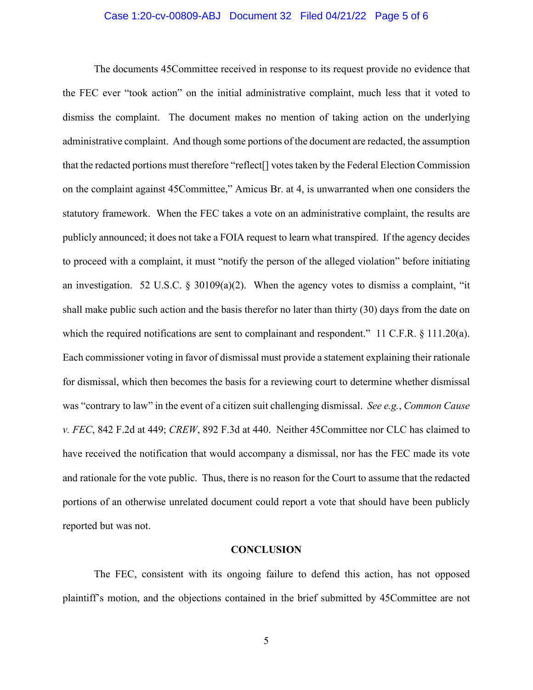### Case 1:20-cv-00809-ABJ Document 32 Filed 04/21/22 Page 5 of 6

The documents 45Committee received in response to its request provide no evidence that the FEC ever "took action" on the initial administrative complaint, much less that it voted to dismiss the complaint. The document makes no mention of taking action on the underlying administrative complaint. And though some portions of the document are redacted, the assumption that the redacted portions must therefore "reflect[] votes taken by the Federal Election Commission on the complaint against 45Committee," Amicus Br. at 4, is unwarranted when one considers the statutory framework. When the FEC takes a vote on an administrative complaint, the results are publicly announced; it does not take a FOIA request to learn what transpired. If the agency decides to proceed with a complaint, it must "notify the person of the alleged violation" before initiating an investigation. 52 U.S.C.  $\S$  30109(a)(2). When the agency votes to dismiss a complaint, "it shall make public such action and the basis therefor no later than thirty (30) days from the date on which the required notifications are sent to complainant and respondent." 11 C.F.R. § 111.20(a). Each commissioner voting in favor of dismissal must provide a statement explaining their rationale for dismissal, which then becomes the basis for a reviewing court to determine whether dismissal was "contrary to law" in the event of a citizen suit challenging dismissal. *See e.g.*, *Common Cause v. FEC*, 842 F.2d at 449; *CREW*, 892 F.3d at 440. Neither 45Committee nor CLC has claimed to have received the notification that would accompany a dismissal, nor has the FEC made its vote and rationale for the vote public. Thus, there is no reason for the Court to assume that the redacted portions of an otherwise unrelated document could report a vote that should have been publicly reported but was not.

#### **CONCLUSION**

The FEC, consistent with its ongoing failure to defend this action, has not opposed plaintiff's motion, and the objections contained in the brief submitted by 45Committee are not